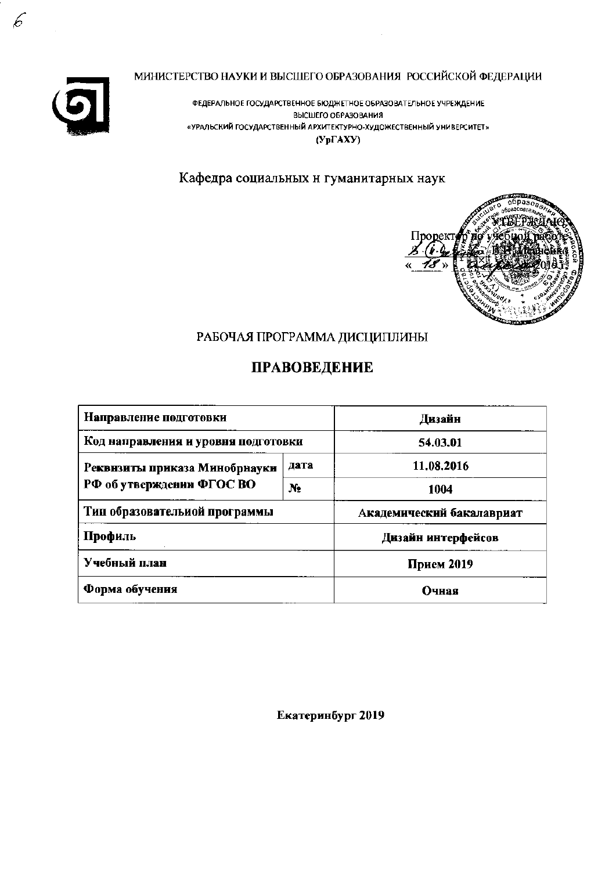

МИНИСТЕРСТВО НАУКИ И ВЫСШЕГО ОБРАЗОВАНИЯ РОССИЙСКОЙ ФЕДЕРАЦИИ

ФЕДЕРАЛЬНОЕ ГОСУДАРСТВЕННОЕ БЮДЖЕТНОЕ ОБРАЗОВАТЕЛЬНОЕ УЧРЕЖДЕНИЕ ВЫСШЕГО ОБРАЗОВАНИЯ «УРАЛЬСКИЙ ГОСУДАРСТВЕННЫЙ АРХИТЕКТУРНО-ХУДОЖЕСТВЕННЫЙ УНИВЕРСИТЕТ»  $(Yp\Gamma A XY)$ 

Кафедра социальных н гуманитарных наук



# РАБОЧАЯ ПРОГРАММА ДИСЦИПЛИНЫ

# ПРАВОВЕДЕНИЕ

| Направление подготовки              | Дизайн     |                           |  |
|-------------------------------------|------------|---------------------------|--|
| Код направления и уровня подготовки | 54.03.01   |                           |  |
| Реквнзиты приказа Минобрнауки       | дата       | 11.08.2016                |  |
| РФ об утверждении ФГОС ВО           | N.         | 1004                      |  |
| Тип образовательиой программы       |            | Академический бакалавриат |  |
| Профиль                             |            | Дизайн интерфейсов        |  |
| Учебный план                        | Прием 2019 |                           |  |
| Форма обучения                      | Очная      |                           |  |

Екатеринбург 2019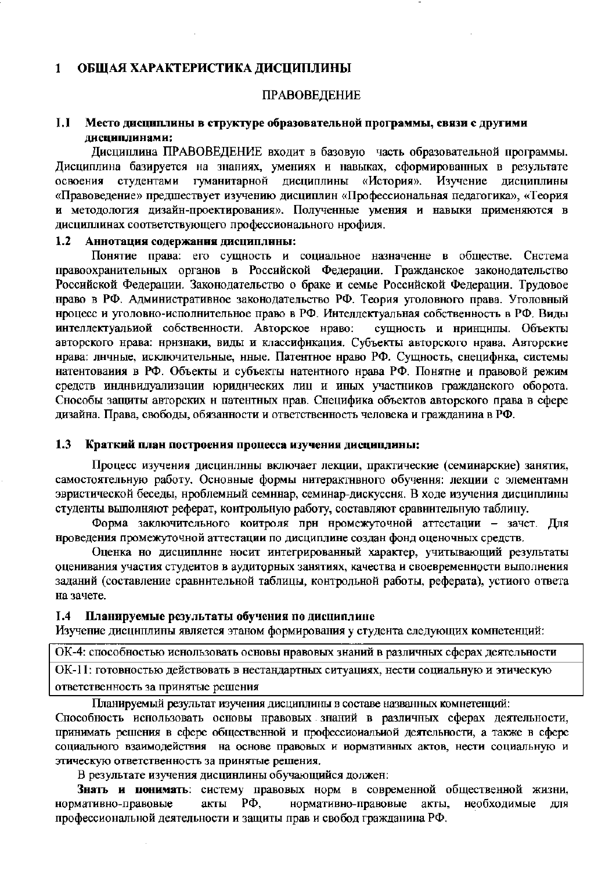#### ОБЩАЯ ХАРАКТЕРИСТИКА ДИСЦИПЛИНЫ  $\mathbf{1}$

#### ПРАВОВЕДЕНИЕ

#### $L1$ Место дисциплины в структуре образовательной программы, связи с другими дисциплинами:

Дисциплина ПРАВОВЕДЕНИЕ входит в базовую часть образовательной программы. Дисциплина базируется на знаниях, умениях и навыках, сформированных в результате студентами гуманитарной дисциплины «История». Изучение дисциплины освоения «Правоведение» предшествует изучению дисциплин «Профессиональная педагогика», «Теория и методология дизайн-проектирования». Полученные умения и навыки применяются в дисциплинах соответствующего профессионального нрофиля.

#### $1.2$ Аннотация содержания дисциплины:

Понятие права: его сущность и социальное назначенне в обществе. Снстема правоохранительных органов в Российской Федерации. Гражданское законодательство Российской Федерации. Законодательство о браке и семье Российской Федерации. Трудовое нраво в РФ. Административное законодательство РФ. Теория уголовного права. Уголовный нроцесс и уголовно-исполнительное право в РФ. Интеллектуальная собственность в РФ. Виды интеллектуальиой собственности. Авторское нраво: сущность и нринципы. Объекты авторского нрава: нризнаки, виды и классификация. Субъекты авторского нрава. Авторские нрава: лнчные, исключительные, нные. Патентное нраво РФ. Сущность, снецифнка, системы натентования в РФ. Объекты и субъекты натентного нрава РФ. Понятне и правовой режим средств инднвидуализации юриднческих лиц и иных участников гражданского оборота. Снособы защиты авторских и патентных нрав. Снецифика объектов авторского права в сфере дизайна. Права, свободы, обязанности и ответственность человека и гражданина в РФ.

#### $1.3$ Краткий план построения процесса изучения дисциплины;

Процесс изучения дисцинлины включает лекции, практические (семинарские) занятия, самостоятельную работу. Основные формы нитерактивного обучения: лекции с элементами эвристической беседы, проблемный семннар, семинар-дискуссня. В ходе изучения дисциплины студенты выполняют реферат, контрольную работу, составляют сравнительную таблицу.

Форма заключительного коитроля при нромежуточной аттестации - зачет. Для нроведения промежуточной аттестации по дисциплине создан фонд оценочных средств.

Оценка но дисциплине носит интегрированный характер, учитывающий результаты оценивания участия студеитов в аудиторных занятиях, качества и своевременности выполнения заданий (составление сравнительной таблицы, контрольной работы, реферата), устиого ответа на зачете.

#### $I.4$ Планируемые результаты обучения по дисциплине

Изучение дисциплины является этаном формирования у студента следующих комнетенций:

ОК-4: способностью иснользовать основы нравовых знаний в различных сферах деятельности ОК-11: готовностью действовать в нестандартных ситуациях, нести социальную и этическую ответственность за принятые решения

Планируемый результат изучения дисциплины в составе названных комнетенций:

Способность иснользовать основы правовых знаний в различных сферах деятельности, принимать решения в сфере общественной и профессиональной деятельности, а также в сфере социального взаимодействия на основе правовых и нормативных актов, нести социальную и этическую ответственность за принятые решения.

В результате изучения дисцинлины обучающийся должен:

Знать и понимать: систему правовых норм в современной общественной жизни, нормативно-правовые акты РФ, нормативно-правовые необходимые акты, для профессиональной деятельности и защиты прав и свобод гражданина РФ.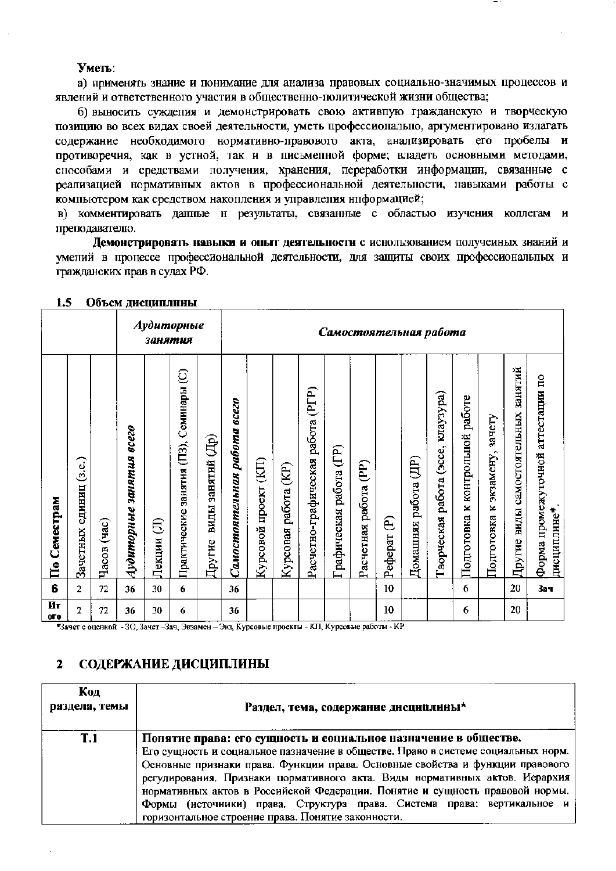#### Уметь:

а) применять знание и понимание для анализа правовых социально-значимых процессов и явлений и ответственного участия в общественно-политической жизни общества;

б) выносить суждения и демонстрировать свою активную гражданскую и творческую позицию во всех видах своей деятельности, уметь профессионально, аргументировано излагать содержание необходимого нормативно-правового акта, анализировать его пробелы и противоречия, как в устной, так и в письменной форме; владеть основными методами, способами и средствами получения, хранения, переработки информации, связанные с реализацией нормативных актов в профессиональной деятельности, навыками работы с компьютером как средством накопления и управления ниформацией;

в) комментировать данные н результаты, связанные с областью изучения коллегам и преподавателю.

Демонстрировать навыки и опыт деятельности с иснользованием получеиных знаний и умений в процессе профессиональной деятельности, для защиты своих профессиональных и гражданских прав в судах РФ.

|                                 |                              |                                   |                                              | занятия     | Аудиторные                              |                             |                              |                                             |                                                |                                      |                        |                                             | Самостоятельная работа |                            |                                              |                                          |                                     |                                     |                                                     |
|---------------------------------|------------------------------|-----------------------------------|----------------------------------------------|-------------|-----------------------------------------|-----------------------------|------------------------------|---------------------------------------------|------------------------------------------------|--------------------------------------|------------------------|---------------------------------------------|------------------------|----------------------------|----------------------------------------------|------------------------------------------|-------------------------------------|-------------------------------------|-----------------------------------------------------|
| Семестрам<br>$\bar{\mathbf{H}}$ | (3.e.)<br>единиц<br>Зачетных | $\mathbf{G}(\mathbf{B})$<br>Часов | <b>8CC20</b><br><b>SAHAMAR</b><br>Аудиторные | Ê<br>Лекции | Практические занятия (П3), Семинары (С) | виды занятий (Др)<br>Другие | Самостоятельная работа всего | $\overline{\text{E}}$<br>проект<br>Курсовой | $\widetilde{\mathbf{E}}$<br>работа<br>Курсовая | (PTP)<br>Расчетно-графическая работа | рафическая работа (ГР) | $\widehat{(\text{PP})}$<br>Расчетная работа | Ê<br>Реферат           | (HD)<br>работа<br>Домашняя | kuraysypa)<br>(300e)<br>работа<br>Гворческая | работе<br>контрольной<br>×<br>Подготовка | зачету<br>экзамену,<br>Подготовка к | Другие виды самостоятельных занятий | аттестации по<br>Форма промежуточной<br>дисциплине* |
| 6                               | 2                            | 72                                | 36                                           | 30          | 6                                       |                             | 36                           |                                             |                                                |                                      |                        |                                             | 10                     |                            |                                              | 6                                        |                                     | 20                                  | 3вч                                                 |
| Ит<br>ого                       | $\overline{2}$               | 72                                | 36                                           | 30          | 6                                       |                             | 36                           |                                             |                                                |                                      |                        |                                             | 10                     |                            |                                              | 6                                        |                                     | 20                                  |                                                     |

#### 1.5 Объем лиспиплины

\*Зачет с оценкой - 3О, Зачет -Зач, Экзамен - Экз, Курсовые проекты - КП, Курсовые работы - КР

#### СОДЕРЖАНИЕ ДИСЦИПЛИНЫ  $\mathbf{2}$

| Код<br>раздела, темы | Раздел, тема, содержание дисциплины*                                                                                                                                                                                                                                                                                                                                                                                                                                                                                                  |
|----------------------|---------------------------------------------------------------------------------------------------------------------------------------------------------------------------------------------------------------------------------------------------------------------------------------------------------------------------------------------------------------------------------------------------------------------------------------------------------------------------------------------------------------------------------------|
| T.1                  | Понятие права: его сущность и социальное назначение в обществе.<br>Его сущность и социальное пазначение в обществе. Право в системе социальных норм.<br>Основные признаки права. Функции права. Основные свойства и функции правового<br>регудирования. Признаки пормативного акта. Виды нормативных актов. Иерархия<br>нормативных актов в Российской Федерации. Понятие и сущность правовой нормы.<br>Формы (источники) права. Структура права. Система права: вертикальное и<br>горизонтальное строение права. Понятие законности. |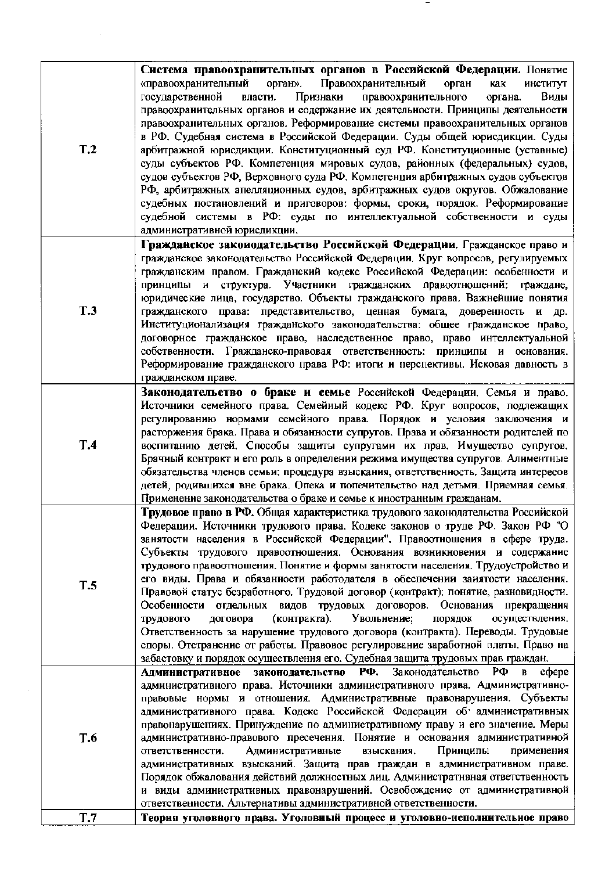|                 | Система правоохранительных органов в Российской Федерации. Понятие                 |
|-----------------|------------------------------------------------------------------------------------|
|                 |                                                                                    |
|                 | «правоохранительный<br>Правоохранительный<br>орган».<br>орган<br>институт<br>как   |
|                 | Признаки<br>Виды<br>государственной<br>власти.<br>правоохранительного<br>органа.   |
|                 | правоохранительных органов и содержание их деятельности. Принципы деятельности     |
|                 | правоохранительных органов. Реформирование системы правоохранительных органов      |
|                 | в РФ. Судебная система в Российской Федерации. Суды общей юрисдикции. Суды         |
| T <sub>.2</sub> |                                                                                    |
|                 | арбитражной юрисдикции. Конституционный суд РФ. Конституционные (уставные)         |
|                 | суды субъектов РФ. Компетенция мировых судов, районных (федеральных) судов,        |
|                 | судов субъектов РФ, Верховного суда РФ. Компетенция арбитражных судов субъектов    |
|                 | РФ, арбитражных апелляционных судов, арбитражных судов округов. Обжалование        |
|                 | судебных постановлений и приговоров: формы, сроки, порядок. Реформирование         |
|                 | судебной системы в РФ: суды по интеллектуальной собственности и суды               |
|                 | административной юрисдикции.                                                       |
|                 |                                                                                    |
|                 | Гражданское закоиодательство Российской Федерации. Гражданское право и             |
|                 | гражданское законодательство Российской Федерации. Круг вопросов, регулируемых     |
|                 | гражданским правом. Гражданский кодекс Российской Федерации: особенности и         |
|                 | принципы и структура. Участники гражданских правоотношений: граждане,              |
|                 | юридические лица, государство. Объекты гражданского права. Важнейшие понятия       |
| <b>T.3</b>      | гражданского права: представительство, ценная бумага, доверенность и др.           |
|                 | Институционализация гражданского законодательства: общее гражданское право,        |
|                 | договорное гражданское право, наследственное право, право интеллектуальной         |
|                 | собственности. Гражданско-правовая ответственность: принципы и основания.          |
|                 |                                                                                    |
|                 | Реформирование гражданского права РФ: итоги и перспективы. Исковая давность в      |
|                 | гражданском праве.                                                                 |
|                 | Законодательство о браке и семье Российской Федерации. Семья и право.              |
|                 | Источники семейного права. Семейный кодекс РФ. Круг вопросов, подлежащих           |
|                 | регулированию нормами семейного права. Порядок и условия заключения и              |
|                 | расторжения брака. Права и обязанности супругов. Права и обязанности родителей по  |
| T.4             | воспитанию детей. Способы защиты супругами их прав. Имущество супругов.            |
|                 | Брачный контракт и его роль в определении режима имущества супругов. Алиментные    |
|                 | обязательства членов семьи: процедура взыскания, ответственность. Защита интересов |
|                 |                                                                                    |
|                 | детей, родившихся вне брака. Опека и попечительство над детьми. Приемная семья.    |
|                 | Применение законодательства о браке и семье к иностранным гражданам.               |
|                 | Трудовое право в РФ. Общая характеристика трудового законодательства Российской    |
|                 | Федерации. Источники трудового права. Кодекс законов о труде РФ. Закон РФ "О       |
|                 | занятости населения в Российской Федерации". Правоотношения в сфере труда.         |
|                 | Субъекты трудового правоотношения. Основания возникновения и содержание            |
|                 | трудового правоотношения. Понятие и формы занятости населения. Трудоустройство и   |
|                 | его виды. Права и обязанности работодателя в обеспечении заиятости населения.      |
| T.5             | Правовой статус безработного. Трудовой договор (контракт): понятие, разновидности. |
|                 | Особенности отдельных видов трудовых договоров. Основания прекращения              |
|                 | Увольнение;<br>осуществления.                                                      |
|                 | (контракта).<br>трудового<br>договора<br>порядок                                   |
|                 | Ответственность за нарушение трудового договора (контракта). Переводы. Трудовые    |
|                 | споры. Отстранение от работы. Правовое регулирование заработной платы. Право на    |
|                 | забастовку и порядок осуществления его. Судебная защита трудовых прав граждан.     |
|                 | Административное законодательство РФ. Законодательство РФ<br>в сфере               |
|                 | административного права. Источники административного права. Административно-       |
|                 | правовые нормы и отношения. Административные правонарушения. Субъекты              |
|                 | административного права. Кодекс Российской Федерации об административных           |
|                 | правонарушениях. Принуждение по административному праву и его значение. Меры       |
| T.6             | административно-правового пресечения. Понятие и основания административной         |
|                 |                                                                                    |
|                 | Административные<br>Принципы<br>ответственности.<br>взыскания.<br>применения       |
|                 | административных взысканий. Защита прав граждан в административном праве.          |
|                 | Порядок обжалования действий должностных лиц. Администратнвная ответственность     |
|                 | и виды административных правонарушений. Освобождение от административной           |
|                 | ответственности. Альтернативы административной ответственности.                    |
| T.7             | Теория уголовного права. Уголовный процесс и уголовно-исполнительное право         |

 $\sim$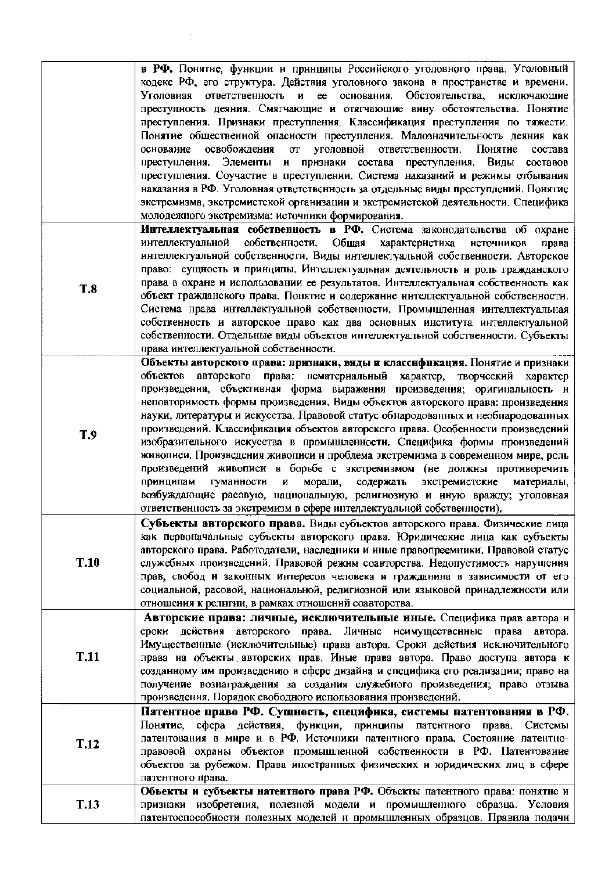|             | в РФ. Понятие, функции и принципы Российского уголовного права. Уголовный                 |
|-------------|-------------------------------------------------------------------------------------------|
|             | кодекс РФ, его структура. Действия уголовного закона в пространстве и времени.            |
|             | Уголовная ответственность и ее основания. Обстоятельства,<br>исключающие                  |
|             | преступность деяния. Смягчающие и отягчающие вину обстоятельства. Понятие                 |
|             |                                                                                           |
|             | преступления. Признаки преступления. Классификация преступления по тяжести.               |
|             | Понятие общественной опасности преступления. Малозначительность деяния как                |
|             | освобождения<br>уголовной ответственности.<br>Понятие<br>основание<br>$\sigma$<br>состава |
|             | преступления. Элементы и признаки состава преступления. Виды составов                     |
|             | преступления. Соучастие в преступлении. Система наказаний и режимы отбывания              |
|             | наказания в РФ. Уголовная ответственность за отдельные виды преступлений. Понятие         |
|             |                                                                                           |
|             | экстремизма, экстремистской организации и экстремистской деятельности. Специфика          |
|             | молодежного экстремизма: источники формирования.                                          |
|             | Интеллектуальная собственность в РФ. Система законодательства об охране                   |
|             | интеллектуальной собственности. Общая<br>характеристика<br>источников<br>права            |
|             | интеллектуальной собственности. Виды интеллектуальной собственности. Авторское            |
|             | право: сущность и принципы. Интеллектуальная деятельность и роль гражданского             |
|             |                                                                                           |
| <b>T.8</b>  | права в охране и использовании ее результатов. Интеллектуальная собственность как         |
|             | объект гражданского права. Понятие и содержание интеллектуальной собственности.           |
|             | Система права интеллектуальной собственности. Промышленная интеллектуальная               |
|             | собственность и авторское право как два основных института интеллектуальной               |
|             | собственности. Отдельные виды объектов интеллектуальной собственности. Субъекты           |
|             | права интеллектуальной собственности.                                                     |
|             | Объекты авторского права: признаки, виды и классификация. Понятие и признаки              |
|             |                                                                                           |
|             | объектов авторского права: нематериальный характер, творческий характер                   |
|             | произведения, объективная форма выражения произведения; оригинальность и                  |
|             | неповторимость формы произведения. Виды объектов авторского права: произведения           |
|             | науки, литературы и искусства. Правовой статус обнародованных и необнародованных          |
|             | произведений. Классификация объектов авторского права. Особенности произведений           |
| T.9         | изобразительного искусства в промышленности. Специфика формы произведений                 |
|             | живописи. Произведения живописи и проблема экстремизма в современном мире, роль           |
|             |                                                                                           |
|             | произведений живописи в борьбе с экстремизмом (не должны противоречить                    |
|             | морали,<br>принципам<br>гуманности<br>И<br>содержать<br>экстремистские<br>материалы,      |
|             | возбуждающие расовую, национальную, религиозную и иную вражду; уголовная                  |
|             | ответственность за экстремизм в сфере интеллектуальной собственности).                    |
|             | Субъекты авторского права. Виды субъектов авторского права. Физические лица               |
|             | как первоначальные субъекты авторского права. Юридические лица как субъекты               |
|             | авторского права. Работодатели, наследники и иные правопреемники. Правовой статус         |
|             |                                                                                           |
| T.10        | служебных произведений. Правовой режим соавторства. Недопустимость нарушения              |
|             | прав, свобод и законных интересов человека и гражданина в зависимости от его              |
|             | социальной, расовой, национальной, религиозной или языковой принадлежности или            |
|             | отношения к религии, в рамках отношений соавторства.                                      |
|             | Авторские права: личные, исключительные иные. Специфика прав автора и                     |
|             | сроки действия авторского права. Личные неимущественные права<br>автора.                  |
|             | Имущественные (исключительные) права автора. Сроки действия исключительного               |
|             |                                                                                           |
| <b>T.11</b> | права на объекты авторских прав. Иные права автора. Право доступа автора к                |
|             | созданному им произведению в сфере дизайна и специфика его реализации; право на           |
|             | получение вознаграждения за создания служебного произведения; право отзыва                |
|             | произведения. Порядок свободного использования произведений.                              |
|             | Патентное право РФ. Сущность, специфика, системы патентования в РФ.                       |
|             | сфера действия, функции, принципы патентного<br>Понятие,<br>права.<br>Системы             |
|             | патентования в мире и в РФ. Источники патентного права. Состояние патентно-               |
| <b>T.12</b> |                                                                                           |
|             | правовой охраны объектов промышленной собственности в РФ. Патентование                    |
|             | объектов за рубежом. Права иностранных физических и юридических лиц в сфере               |
|             | патентного права.                                                                         |
|             | Объекты и субъекты натентного права РФ. Объекты патентного права: понятие и               |
| <b>T.13</b> | признаки изобретения, полезной модели и промышленного образца. Условия                    |
|             | патентоспособности полезных моделей и промышленных образцов. Правила подачи               |

 $\sim 10^7$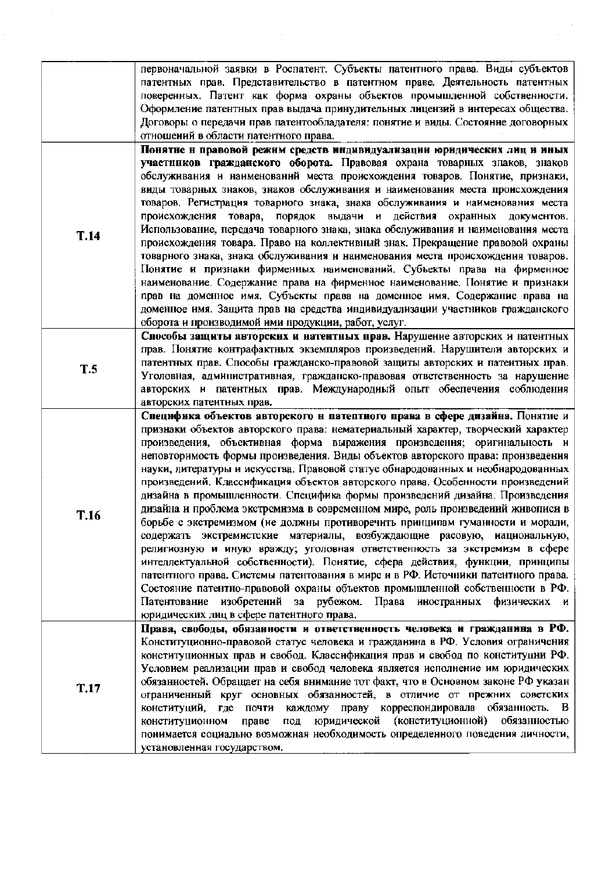|             | первоначальной заявки в Роспатент. Субъекты патентного права. Виды субъектов                                                                                       |
|-------------|--------------------------------------------------------------------------------------------------------------------------------------------------------------------|
|             | патентных прав. Представительство в патентном праве. Деятельность патентных                                                                                        |
|             | поверенных. Патент как форма охраны объектов промышленной собственности.                                                                                           |
|             | Оформление патентных прав выдача принудительных лицензий в интересах общества.                                                                                     |
|             | Договоры о передачи прав патентообладателя: понятие и виды. Состояние договорных                                                                                   |
|             | отношений в области патентного права.                                                                                                                              |
|             | Понятне и правовой режим средств индивидуализации юридических лиц и иных                                                                                           |
|             | участников гражданского оборота. Правовая охрана товарных зпаков, знаков                                                                                           |
|             | обслуживания и наименований места происхождения товаров. Понятие, признаки,                                                                                        |
|             | виды товарных знаков, знаков обслуживания и наименования места происхождения                                                                                       |
|             | товаров. Регистрация товарного знака, знака обслуживания и наименования места                                                                                      |
|             | происхождения товара, порядок выдачи и действия охранных документов.                                                                                               |
| <b>T.14</b> | Использование, передача товарного знака, знака обслуживания и наименования места                                                                                   |
|             | происхождения товара. Право на коллективный знак. Прекращение правовой охраны                                                                                      |
|             | товарного знака, знака обслуживания и наименования места происхождения товаров.                                                                                    |
|             | Понятие и признаки фирменных наименований. Субъекты права на фирменное                                                                                             |
|             | наименование. Содержание права на фирменное наименование. Понятие и признаки                                                                                       |
|             | прав на доменное имя. Субъекты права на доменное имя. Содержание права на                                                                                          |
|             | доменное имя. Защита прав на средства индивидуализации участников гражданского                                                                                     |
|             | оборота и производимой ими продукции, работ, услуг.                                                                                                                |
|             | Способы защиты авторских и натентных прав. Нарушение авторских и патентных                                                                                         |
|             | прав. Понятие контрафактных экземпляров произведений. Нарушители авторских и                                                                                       |
| <b>T.5</b>  | патентных прав. Способы гражданско-правовой защиты авторских и патентных прав.                                                                                     |
|             | Уголовная, административная, гражданско-правовая ответственность за нарушение                                                                                      |
|             | авторских и патентиых прав. Международиый опыт обеспечения соблюдения                                                                                              |
|             | авторских патентных прав.                                                                                                                                          |
|             | Специфика объектов авторского н патептного права в сфере дизайна. Понятие и                                                                                        |
|             | признаки объектов авторского права: нематериальный характер, творческий характер                                                                                   |
|             | произведения, объективная форма выражения произведения; оригинальность и                                                                                           |
|             | неповторимость формы произведения. Виды объектов авторского права: произведения                                                                                    |
|             | науки, литературы и искусства. Правовой статус обнародованных и необнародованных                                                                                   |
|             | произведений. Классификация объектов авторского права. Особенности произведений                                                                                    |
|             | дизайна в промышленности. Специфика формы произведений дизайна. Произведения                                                                                       |
| T.16        | дизайна и проблема экстремизма в современном мире, роль произведений живописи в                                                                                    |
|             | борьбе с экстремизмом (ие должны противоречить принципам гуманности и морали,                                                                                      |
|             | содержать экстремистские материалы, возбуждающие расовую, иациональную,                                                                                            |
|             | религиозную и иную вражду; уголовная ответственность за экстремизм в сфере                                                                                         |
|             | интеллектуальной собственности). Понятие, сфера действия, функции, принципы                                                                                        |
|             | патентного права. Системы патентования в мире и в РФ. Источники патентного права.                                                                                  |
|             | Состояние патентно-правовой охраны объектов промышленной собственности в РФ.                                                                                       |
|             | изобретений<br>Права иностранных<br>Патентование<br>за рубежом.<br>физических и                                                                                    |
|             | юридических лиц в сфере патентного права.                                                                                                                          |
|             | Права, свободы, обязанности и ответственность человека и гражданина в РФ.<br>Конституционно-правовой статус человека и гражданина в РФ. Условия ограничения        |
|             |                                                                                                                                                                    |
|             | конституционных прав и свобод. Классификация прав и свобод по конституции РФ.                                                                                      |
|             | Условием реализации прав и свобод человека является исполнение им юридических<br>обязанностей. Обращает на себя внимание тот факт, что в Основном законе РФ указан |
| T.17        | ограниченный круг основных обязанностей, в отличие от прежних советских                                                                                            |
|             | конституций,<br>каждому праву корреспондировала обязанность. В<br>где почти                                                                                        |
|             | юридической (конституционной)<br>обязанностью<br>конституционном<br>праве<br>под                                                                                   |
|             | понимается социально возможная необходимость определенного поведения личности,                                                                                     |
|             | установленная государством.                                                                                                                                        |
|             |                                                                                                                                                                    |

 $\sim 10^6$ 

 $\frac{1}{2}$ 

 $\hat{\boldsymbol{\beta}}$ 

 $\hat{\boldsymbol{\beta}}$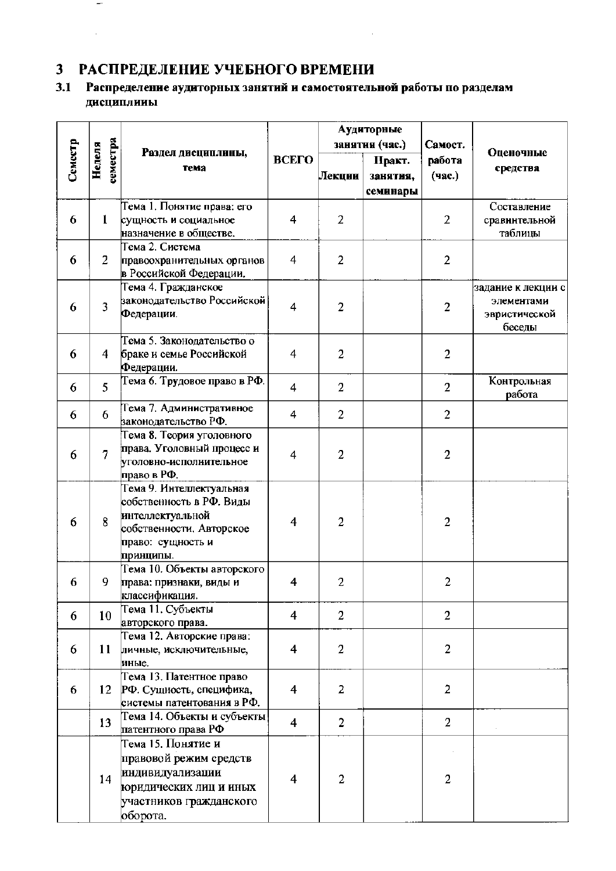# 3 РАСПРЕДЕЛЕНИЕ УЧЕБНОГО ВРЕМЕНИ

 $\overline{\phantom{a}}$ 

 $\hat{A}$ 

# 3.1 Распределение аудиторных занятий и самостоятельной работы по разделам дисциплины

 $\mathcal{L}_{\mathcal{A}}$ 

|         |                    |                                                         |                         |                | Аудиторные     |                |                                  |  |
|---------|--------------------|---------------------------------------------------------|-------------------------|----------------|----------------|----------------|----------------------------------|--|
| Семестр | семестра<br>Неделя | Раздел дисциплины,                                      |                         |                | занятия (час.) | Самост.        | Оценочные                        |  |
|         |                    | Tema                                                    | ВСЕГО                   |                | Практ.         | работа         | средства                         |  |
|         |                    |                                                         |                         | Лекции         | занятия,       | (час.)         |                                  |  |
|         |                    |                                                         |                         |                | семинары       |                |                                  |  |
|         |                    | Тема 1. Понятие права: его                              |                         |                |                |                | Составление                      |  |
| 6       | $\mathbf{1}$       | сущность и социальное                                   | $\overline{\mathbf{4}}$ | 2              |                | $\overline{2}$ | сравнительной                    |  |
|         |                    | назначение в обществе.                                  |                         |                |                |                | таблицы                          |  |
|         |                    | Тема 2. Система                                         |                         |                |                |                |                                  |  |
| 6       | $\overline{2}$     | правоохранительных органов                              | 4                       | $\overline{2}$ |                | $\overline{2}$ |                                  |  |
|         |                    | в Российской Федерации.<br>Тема 4. Гражданское          |                         |                |                |                |                                  |  |
|         |                    | законодательство Российской                             |                         |                |                |                | задание к лекции с<br>элементами |  |
| 6       | 3                  | Федерации.                                              | 4                       | $\overline{2}$ |                | $\overline{2}$ | эвристической                    |  |
|         |                    |                                                         |                         |                |                |                | беседы                           |  |
|         |                    | Тема 5. Законодательство о                              |                         |                |                |                |                                  |  |
| 6       | 4                  | браке и семье Российской                                | 4                       | $\overline{2}$ |                | $\overline{2}$ |                                  |  |
|         |                    | Федерации.                                              |                         |                |                |                |                                  |  |
| 6       | 5                  | Тема 6. Трудовое право в РФ.                            | 4                       | $\overline{2}$ |                | $\overline{2}$ | Контрольная                      |  |
|         |                    |                                                         |                         |                |                |                | работа                           |  |
| 6       | 6                  | Тема 7. Административное                                | 4                       | $\overline{2}$ |                | $\overline{2}$ |                                  |  |
|         |                    | ваконодательство РФ.                                    |                         |                |                |                |                                  |  |
|         |                    | Тема 8. Теория уголовного<br>права. Уголовный процесс и |                         |                |                |                |                                  |  |
| 6       | $\overline{7}$     | уголовно-исполнительное                                 | 4                       | $\overline{2}$ |                | $\overline{2}$ |                                  |  |
|         |                    | право в РФ.                                             |                         |                |                |                |                                  |  |
|         |                    | Тема 9. Интеллектуальная                                |                         |                |                |                |                                  |  |
|         |                    | собственность в РФ. Виды                                |                         |                |                |                |                                  |  |
|         | 8                  | интеллектуальной                                        | 4                       | $\overline{2}$ |                | $\overline{2}$ |                                  |  |
| 6       |                    | собственности. Авторское                                |                         |                |                |                |                                  |  |
|         |                    | право: сущность и                                       |                         |                |                |                |                                  |  |
|         |                    | принципы.                                               |                         |                |                |                |                                  |  |
|         |                    | Тема 10. Объекты авторского                             |                         |                |                |                |                                  |  |
| 6       | 9                  | права: признаки, виды и                                 | 4                       | 2              |                | $\overline{2}$ |                                  |  |
|         |                    | классификация.<br>Тема 11. Субъекты                     |                         |                |                |                |                                  |  |
| 6       | 10                 | авторского права.                                       | 4                       | 2              |                | $\overline{2}$ |                                  |  |
|         |                    | Тема 12. Авторские права:                               |                         |                |                |                |                                  |  |
| 6       | 11                 | личные, исключительные,                                 | 4                       | $\overline{2}$ |                | $\overline{2}$ |                                  |  |
|         |                    | иные.                                                   |                         |                |                |                |                                  |  |
|         |                    | Тема 13. Патентное право                                |                         |                |                |                |                                  |  |
| 6       | 12                 | РФ. Сущность, специфика,                                | 4                       | $\overline{2}$ |                | $\overline{2}$ |                                  |  |
|         |                    | системы патентования в РФ.                              |                         |                |                |                |                                  |  |
|         | 13                 | Тема 14. Объекты и субъекты                             | $\overline{\mathbf{4}}$ | $\overline{2}$ |                | $\overline{2}$ |                                  |  |
|         |                    | патентного права РФ                                     |                         |                |                |                |                                  |  |
|         |                    | Тема 15. Понятие и                                      |                         |                |                |                |                                  |  |
|         |                    | правовой режим средств                                  |                         |                |                |                |                                  |  |
|         | 14                 | индивидуализации                                        | 4                       | 2              |                | $\overline{2}$ |                                  |  |
|         |                    | юридических лиц и иных                                  |                         |                |                |                |                                  |  |
|         |                    | участников гражданского                                 |                         |                |                |                |                                  |  |
|         |                    | оборота.                                                |                         |                |                |                |                                  |  |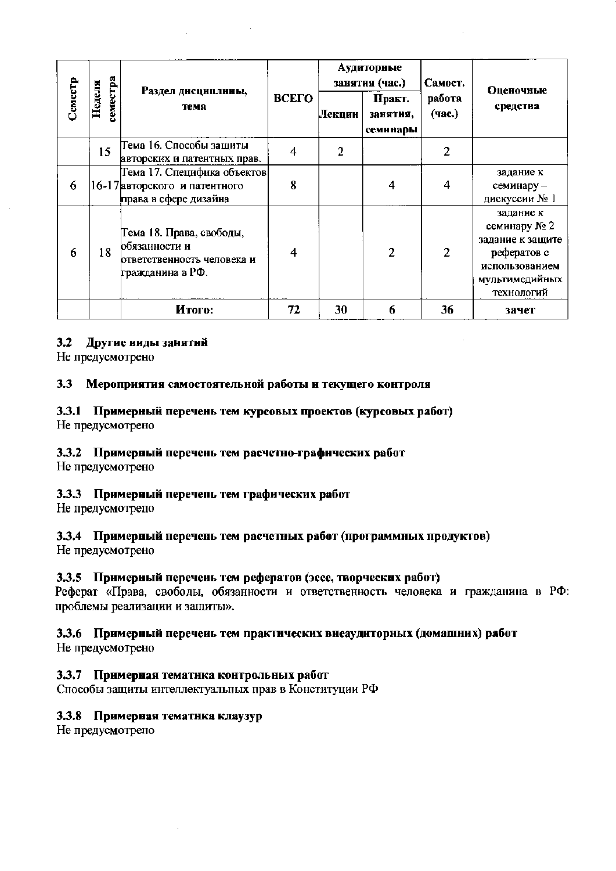|         |                    | Раздел дисциплины,                                                                          |                |                | Аудиторные<br>занятия (час.)   | Самост.          | Оценочные                                                                                                      |  |
|---------|--------------------|---------------------------------------------------------------------------------------------|----------------|----------------|--------------------------------|------------------|----------------------------------------------------------------------------------------------------------------|--|
| Семестр | геместра<br>Неделя | тема                                                                                        | ВСЕГО          | Лекции         | Практ.<br>занятия,<br>семинары | работа<br>(час.) | средства                                                                                                       |  |
|         | 15                 | Тема 16. Способы защиты<br>авторских и патентных прав.                                      | $\overline{4}$ | $\overline{2}$ |                                | 2                |                                                                                                                |  |
| 6       |                    | Тема 17. Специфика объектов <br>16-17 авторского и патентного<br>права в сфере дизайна      | 8              |                | 4                              | 4                | задание к<br>семинару -<br>дискуссии № 1                                                                       |  |
| 6       | 18                 | Тема 18. Права, свободы,<br>обязанности и<br>ответственность человека и<br>гражданина в РФ. | $\overline{4}$ |                | 2                              | 2                | заданне к<br>семинару № 2<br>задание к защите<br>рефератов с<br>использованием<br>мультимедийных<br>технологий |  |
|         |                    | Итого:                                                                                      | 72             | 30             | 6                              | 36               | зачет                                                                                                          |  |

### 3.2 Другие виды занятий

Не предусмотрено

#### Мероприятия самостоятельной работы и текущего контроля  $3.3$

# 3.3.1 Примерный перечень тем курсовых проектов (курсовых работ)

Не предусмотрено

# 3.3.2 Примерный перечень тем расчетно-графических работ

Не предусмотрено

# 3.3.3 Примерный перечень тем графических работ

Не предусмотрепо

# 3.3.4 Примерный перечень тем расчетных работ (программных продуктов)

Не предусмотрено

### 3.3.5 Примерный перечень тем рефератов (эссе, творческих работ)

Реферат «Права, свободы, обязанности и ответственность человека и гражданина в РФ: проблемы реализации и защиты».

### 3.3.6 Примерный перечеиь тем практических виеаудиторных (домашних) работ

Не предусмотрено

# 3.3.7 Примерная тематнка контрольных работ

Способы защиты интеллектуальных прав в Конституции РФ

### 3.3.8 Примерная тематнка клаузур

Не предусмотрепо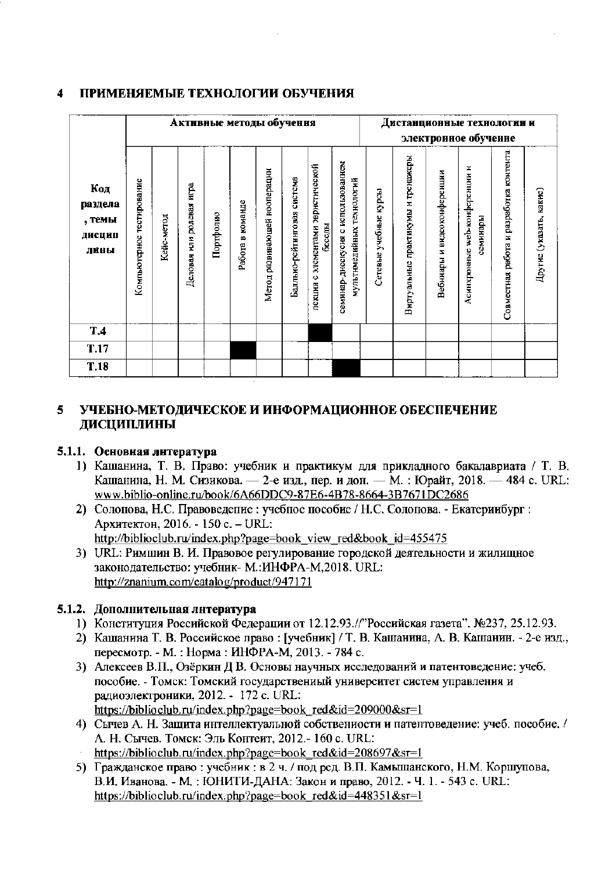#### $\blacktriangleleft$ ПРИМЕНЯЕМЫЕ ТЕХНОЛОГИИ ОБУЧЕНИЯ

|                                            |                           |            |                          |           | Активные методы обучения |                              |                             |                                             |                                                                 |                       |                                    |                             | Дистанционные технологии и<br>электронное обучение |                                         |                         |
|--------------------------------------------|---------------------------|------------|--------------------------|-----------|--------------------------|------------------------------|-----------------------------|---------------------------------------------|-----------------------------------------------------------------|-----------------------|------------------------------------|-----------------------------|----------------------------------------------------|-----------------------------------------|-------------------------|
| Код<br>раздела<br>, темы<br>ДИСЦИП<br>лины | Компьютерное тестирование | Кейс-метод | Деловая нли ролевая игра | Портфолио | Работа в команде         | Метод развивающей кооперации | Балльно-рейтинговая система | лекция с элементами эвристической<br>беседы | семниар-дисскусия с использованием<br>мультимедийных технологий | Сетевые учебные курсы | Виртуальные практикумы и тренажеры | Вебниары и видеоконференции | Асинхронные web-конференции н<br>семинары          | Совместная работа и разработка контента | Другие (указать, какис) |
| T.4                                        |                           |            |                          |           |                          |                              |                             |                                             |                                                                 |                       |                                    |                             |                                                    |                                         |                         |
| <b>T.17</b>                                |                           |            |                          |           |                          |                              |                             |                                             |                                                                 |                       |                                    |                             |                                                    |                                         |                         |
| <b>T.18</b>                                |                           |            |                          |           |                          |                              |                             |                                             |                                                                 |                       |                                    |                             |                                                    |                                         |                         |

#### УЧЕБНО-МЕТОДИЧЕСКОЕ И ИНФОРМАЦИОННОЕ ОБЕСПЕЧЕНИЕ 5. ДИСЦИПЛИНЫ

### 5.1.1. Основная литература

- 1) Кашанина, Т. В. Право: учебник и практикум для прикладного бакалавриата / Т. В. Кашанина, Н. М. Сизикова. - 2-е изд., пер. и дон. - М. : Юрайт, 2018. - 484 с. URL: www.biblio-online.ru/book/6A66DDC9-87E6-4B78-8664-3B7671DC2686
- 2) Солопова, Н.С. Правоведение : учебное пособие / Н.С. Солопова. Екатериибург : Архитектон, 2016. - 150 с. - URL: http://biblioclub.ru/index.php?page=book view red&book id=455475
- 3) URL: Римшин В. И. Правовое регулирование городской деятельности и жилищное законодательство: учебник- М.: ИНФРА-М, 2018. URL: http://znanium.com/catalog/product/947171

### 5.1.2. Дополнительная литература

- 1) Конституция Российской Федерации от 12.12.93.//"Российская газета". №237, 25.12.93.
- 2) Кашанина Т. В. Российское право: [учебник] / Т. В. Кашанина, А. В. Кашанин. 2-е изд., пересмотр. - М.: Норма: ИНФРА-М, 2013. - 784 с.
- 3) Алексеев В.П., Озёркин Д В. Основы научных исследований и патентоведение: учеб. пособие. - Томск: Томский государствениый университет систем управления и радиоэлектроники, 2012. - 172 с. URL: https://biblioclub.ru/index.php?page=book\_red&id=209000&sr=1

4) Сычев А. Н. Защита интеллектуальной собствениости и патентоведение: учеб. пособие. /

- А. Н. Сычев. Томск: Эль Контеит, 2012.- 160 с. URL:
- https://biblioclub.ru/index.php?page=book red&id=208697&sr=1
- 5) Гражданское право: учебник: в 2 ч. / под ред. В.П. Камышанского, Н.М. Коршупова, В.И. Иванова. - М.: ЮНИТИ-ДАНА: Закон и право, 2012. - Ч. 1. - 543 с. URL: https://biblioclub.ru/index.php?page=book red&id=448351&sr=1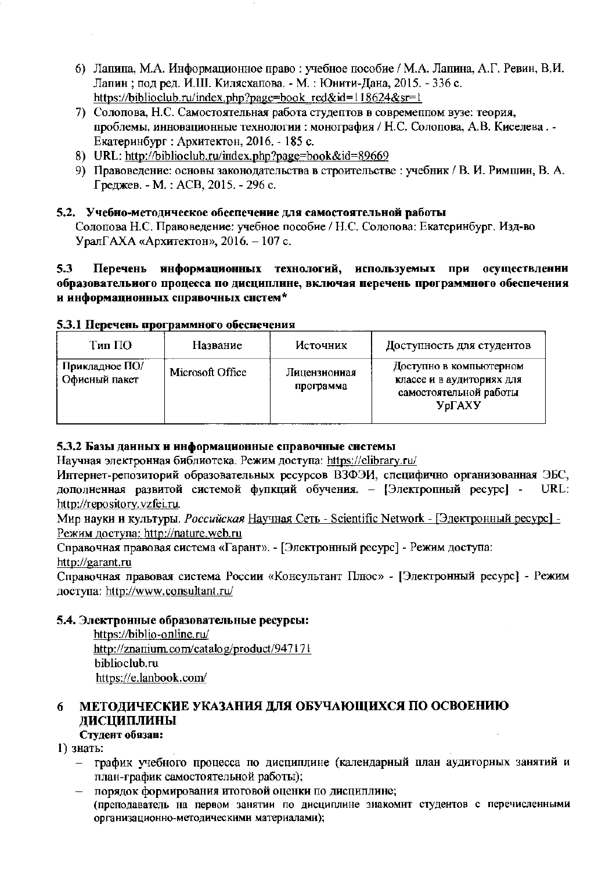- 6) Лапипа, М.А. Информационное право: учебное пособие / М.А. Лапина, А.Г. Ревин, В.И. Лапин; под ред. И.Ш. Килясхапова. - М.: Юнити-Дана, 2015. - 336 с. https://biblioclub.ru/index.php?page=book\_red&id=118624&sr=1
- 7) Солопова, Н.С. Самостоятельная работа студептов в современном вузе: теория, проблемы, инновационные технологии : монография / Н.С. Солопова, А.В. Киселева. -Екатеринбург : Архитектон, 2016. - 185 с.
- 8) URL: http://biblioclub.ru/index.php?page=book&id=89669
- 9) Правоведение: основы законодательства в строительстве: учебник / В. И. Римшин, В. А. Греджев. - М.: АСВ, 2015. - 296 с.

### 5.2. Учебно-методическое обеспечение для самостоятельной работы

Солопова Н.С. Правоведение: учебное пособие / Н.С. Солопова: Екатеринбург. Изд-во Урал $\Gamma$ АХА «Архитектон», 2016. - 107 с.

#### $5.3$ Перечень информационных технологий, используемых при осуществлении образовательного процесса по дисциплине, включая перечень программного обеспечения и информационных справочных систем\*

### 5.3.1 Перечень программного обеспечения

| Тип ПО                          | Название         | Источник                  | Доступность для студентов                                                                        |
|---------------------------------|------------------|---------------------------|--------------------------------------------------------------------------------------------------|
| Прикладное ПО/<br>Офисный пакет | Microsoft Office | Лицензионная<br>программа | Доступно в компьютерном<br>классе и в аудиториях для<br>самостоятельной работы<br><b>У</b> рГАХУ |

#### 5.3.2 Базы данных и информационные справочные системы

Научная электронная библиотека. Режим доступа: https://elibrary.ru/

Интернет-репозиторий образовательных ресурсов ВЗФЭИ, специфично организованная ЭБС, дополненная развитой системой фупкций обучения. - [Электропный ресурс] -URL: http://repository.vzfei.ru.

Мир науки и культуры. Российская Научная Сеть - Scientific Network - [Электронный ресурс] -Режим доступа: http://nature.web.ru

Справочная правовая система «Гарант». - [Электронный ресурс] - Режим доступа: http://garant.ru

Справочная правовая система России «Консультант Плюс» - [Электронный ресурс] - Режим доступа: http://www.consultant.ru/

#### 5.4. Электроиные образовательные ресурсы:

https://biblio-online.ru/ http://znanium.com/catalog/product/947171 biblioclub.ru https://e.lanbook.com/

#### МЕТОДИЧЕСКИЕ УКАЗАНИЯ ДЛЯ ОБУЧАЮЩИХСЯ ПО ОСВОЕНИЮ 6 ДИСЦИПЛИНЫ

# Студент обязан:

1) знать:

- график учебного процесса по дисциплине (календарный план аудиторных занятий и план-график самостоятельной работы);
- порядок формирования итоговой оценки по дисциплине: (преподаватель на первом занятии по дисциплине знакомит студентов с перечисленными организационно-методическими материалами);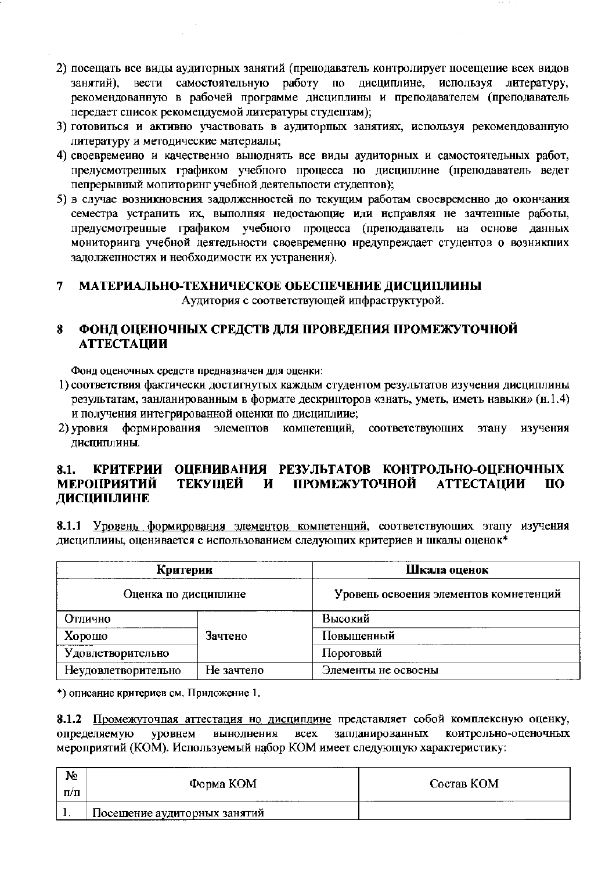- 2) посещать все виды аудиторных занятий (преподаватель контролирует посещепие всех видов занятий), вести самостоятельную работу по дисциплине, используя литературу, рекомендованную в рабочей программе дисциплины и преподавателем (преподаватель передает список рекомендуемой литературы студептам);
- 3) готовиться и активно участвовать в аудиторпых занятиях, используя рекомендованную литературу и методические материалы;
- 4) своевременно и качественно выполнять все виды аудиторных и самостоятельных работ, предусмотрепных графиком учебного процесса по дисциплине (преподаватель ведет пепрерывный мопиторинг учебной деятельности студентов);
- 5) в случае возникновения задолженностей по текущим работам своевременно до окончания семестра устранить их, выполняя недостающие или исправляя не зачтенные работы, предусмотренные графиком учебного процесса (преподаватель на основе данных мониториига учебной деятельности своевременно нредупреждает студентов о возникших задолжепностях и необходимости их устранения).

#### МАТЕРИАЛЬНО-ТЕХНИЧЕСКОЕ ОБЕСПЕЧЕНИЕ ДИСЦИПЛИНЫ  $\overline{7}$

Аудитория с соответствующей ипфраструктурой.

#### 8 ФОНД ОЦЕНОЧНЫХ СРЕДСТВ ДЛЯ ПРОВЕДЕНИЯ ПРОМЕЖУТОЧНОЙ **АТТЕСТАЦИИ**

Фонд оценочных средств предназначен для оценки:

- 1) соответствия фактически достигнутых каждым студентом результатов изучения дисциплины результатам, занланированным в формате дескрипторов «знать, уметь, иметь навыки» (н.1.4) и получения интегрированной оценки по дисциплиие;
- 2) уровия формирования элемептов компетенций, соответствующих этану изучения дисциплины.

#### КРИТЕРИИ ОЦЕНИВАНИЯ РЕЗУЛЬТАТОВ КОНТРОЛЬНО-ОЦЕНОЧНЫХ  $8.1.$ **ПРОМЕЖУТОЧНОЙ МЕРОПРИЯТИЙ** ТЕКУЩЕЙ И **АТТЕСТАЦИИ**  $\mathbf{u}$ ДИСЦИПЛИНЕ

8.1.1 Уровень формирования элементов компетенций, соответствующих этапу изучения дисциплины, оценивается с использованием следующих критериев и шкалы оценок\*

| Критерии                          |         | Шкала оценок                           |
|-----------------------------------|---------|----------------------------------------|
| Оценка по дисциплине              |         | Уровень освоения элементов комнетенций |
| Отлично                           |         | Высокий                                |
| Хорошо                            | Зачтено | Повышенный                             |
| Удовлетворительно                 |         | Пороговый                              |
| Неудовлетворительно<br>Не зачтено |         | Элементы не освоены                    |

\*) описание критериев см. Приложение 1.

8.1.2 Промежуточная аттестация но дисциплине представляет собой комплексную оценку, определяемую уровнем выноднения **BCCX** запланированных коитрольно-оценочных мероприятий (КОМ). Используемый набор КОМ имеет следующую характеристику:

| $N_2$<br>$\Pi/\Pi$ | Форма КОМ                    | Состав КОМ |
|--------------------|------------------------------|------------|
|                    | Посещение аудиторных занятий |            |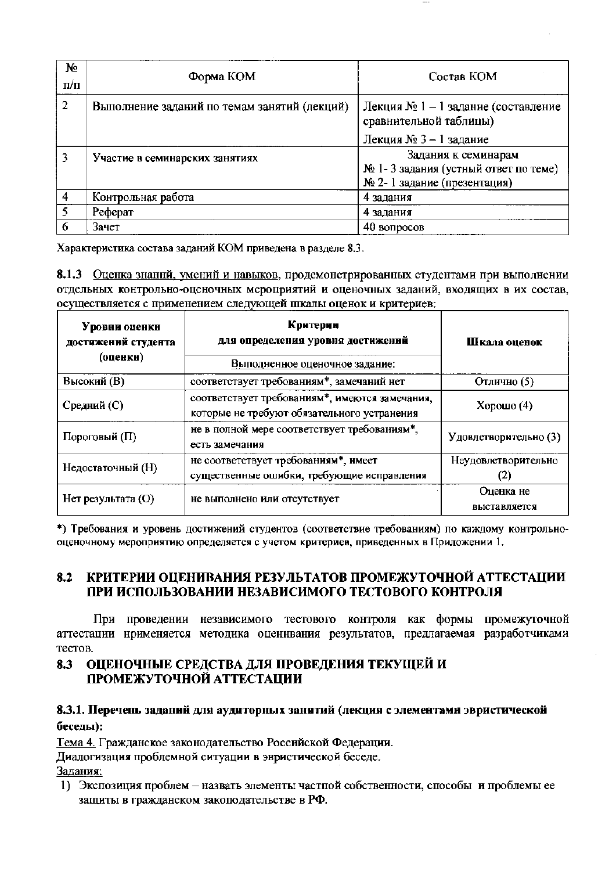| $N_{2}$<br>$\pi/\pi$ | Форма КОМ                                    | Состав КОМ                                                                                 |
|----------------------|----------------------------------------------|--------------------------------------------------------------------------------------------|
| 2                    | Выполнение заданий по темам занятий (лекций) | Лекция № 1 – 1 задание (составление<br>сравнительной таблицы)                              |
|                      |                                              | Лекция № 3 – 1 задание                                                                     |
|                      | Участие в семинарских занятиях               | Задания к семинарам<br>№ 1-3 задания (устный ответ по теме)<br>№ 2-1 задание (презентация) |
| 4                    | Контрольная работа                           | 4 задания                                                                                  |
| 5                    | Реферат                                      | 4 задания                                                                                  |
| 6                    | Зачет                                        | 40 вопросов                                                                                |

Характеристика состава заданий КОМ приведена в разделе 8.3.

8.1.3 Оценка знаннй, умений и навыков, продемонстрированных студентами при выполнении отдельных контрольно-оценочных мероприятий и оценочных заданий, входящих в их состав, осуществляется с применением следующей шкалы оценок и критериев:

| Уровни оценки<br>достижений студента<br>(оценки) | Критерии<br>для определения уровня достижений<br>Выподненное оценочное задание:               | Шкала оценок              |  |
|--------------------------------------------------|-----------------------------------------------------------------------------------------------|---------------------------|--|
| Высокий (В)                                      | соответствует требованиям*, замечаний нет                                                     | Отлично (5)               |  |
| Средний (С)                                      | соответствует требованиям*, имеются замечания,<br>которые не требуют обязательного устранения | Хорошо $(4)$              |  |
| Пороговый (П)                                    | не в полной мере соответствует требованиям*,<br>есть замечания                                | Удовлетворительно (3)     |  |
| Недостаточный (Н)                                | не соответствует требованиям*, имеет<br>существенные ошибки, требующие исправления            | Неудовлетворительно       |  |
| Нет результата (O)                               | не выполнено или отсутствует                                                                  | Оценка не<br>выставляется |  |

\*) Требования и уровень достижений студентов (соответствие требованиям) по каждому контрольнооценочному мероприятию определяется с учетом критериев, приведенных в Приложении 1.

#### КРИТЕРИИ ОЦЕНИВАНИЯ РЕЗУЛЬТАТОВ ПРОМЕЖУТОЧНОЙ АТТЕСТАЦИИ 8.2 ПРИ ИСПОЛЬЗОВАНИИ НЕЗАВИСИМОГО ТЕСТОВОГО КОНТРОЛЯ

При проведении независимого тестового контроля как формы промежуточной аттестации нрименяется методика оценнвания результатов, предлагаемая разработчиками тестов.

#### ОЦЕНОЧНЫЕ СРЕДСТВА ДЛЯ ПРОВЕДЕНИЯ ТЕКУЩЕЙ И 8.3 ПРОМЕЖУТОЧНОЙ АТТЕСТАЦИИ

### 8.3.1. Перечень заданий для аудиторных занятий (лекция с элементами эвристической беседы):

Тема 4. Гражданское законодательство Российской Федерации.

Диалогизация проблемной ситуации в эвристической беседе.

Задания:

1) Экспозиция проблем - назвать элементы частной собственности, способы и проблемы ее защиты в гражданском закоподательстве в РФ.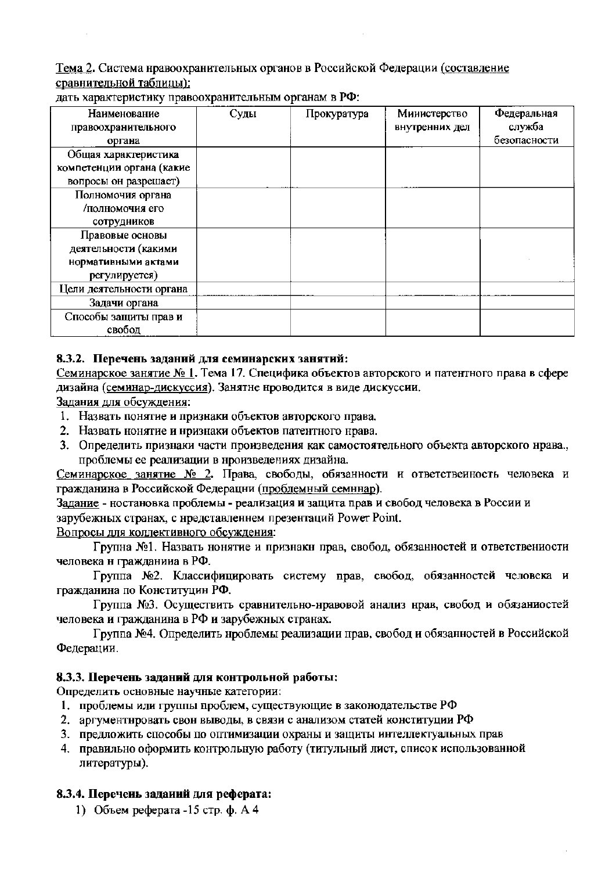Тема 2. Система нравоохранительных органов в Российской Федерации (составление сравнительной таблицы):

| Наименование              | Суды | Прокуратура | Министерство   | Федеральная  |
|---------------------------|------|-------------|----------------|--------------|
| правоохранительного       |      |             | внутренних дел | служба       |
| органа                    |      |             |                | безопасности |
| Общая характеристика      |      |             |                |              |
| компетенции органа (какие |      |             |                |              |
| вопросы он разрешает)     |      |             |                |              |
| Полномочия органа         |      |             |                |              |
| люлномочия его/           |      |             |                |              |
| сотрудников               |      |             |                |              |
| Правовые основы           |      |             |                |              |
| деятельности (какими      |      |             |                |              |
| нормативными актами       |      |             |                |              |
| регулируется)             |      |             |                |              |
| Цели деятельности органа  |      |             |                |              |
| Задачи органа             |      |             |                |              |
| Способы защиты прав и     |      |             |                |              |
| свобод                    |      |             |                |              |

дать характеристику правоохранительным органам в РФ:

### 8.3.2. Перечень заданий для семинарских занятий:

Семинарское занятие № 1. Тема 17. Специфика объектов авторского и патентного права в сфере дизайна (семинар-дискуссия). Занятне нроводится в виде дискуссии.

Задания для обсуждения:

- 1. Назвать понятие и признаки объектов авторского права.
- 2. Назвать нонятие и нризнаки объектов патентного нрава.
- 3. Определить признаки части произведения как самостоятельного объекта авторского нрава., проблемы ее реализации в нроизведениях дизайна.

Семинарское занятие № 2. Права, свободы, обязанности и ответствеиность человека и гражданина в Российской Федерации (проблемный семннар).

Задание - ностановка проблемы - реализация и защита прав и свобод человека в России и зарубежных странах, с нредставленнем презентаций Power Point.

Вопросы для коллективного обсуждения:

Групна №1. Назвать нонятие и признакн прав, свобод, обязанностей и ответствениости человека н гражданина в РФ.

Группа №2. Классифицировать систему прав, свобод, обязанностей человека и гражданина по Конституцин РФ.

Группа №3. Осуществить сравнительно-нравовой анализ нрав, свобод и обязаниостей человека и гражданина в РФ и зарубежных странах.

Группа №4. Определить нроблемы реализации прав, свобод и обязанностей в Российской Федерации.

#### 8.3.3. Перечень заданий для контрольной работы:

Определить основные научные категории:

- 1. проблемы или группы проблем, существующие в законодательстве РФ
- 2. аргументнровать свон выводы, в связи с анализом статей конституции РФ
- 3. предложить способы по оптимизации охраны и защиты интеллектуальных прав
- 4. правильно оформить контрольную работу (титульный лист, список использованной литературы).

#### 8.3.4. Перечень заданий для реферата:

1) Объем реферата -15 стр. ф. А 4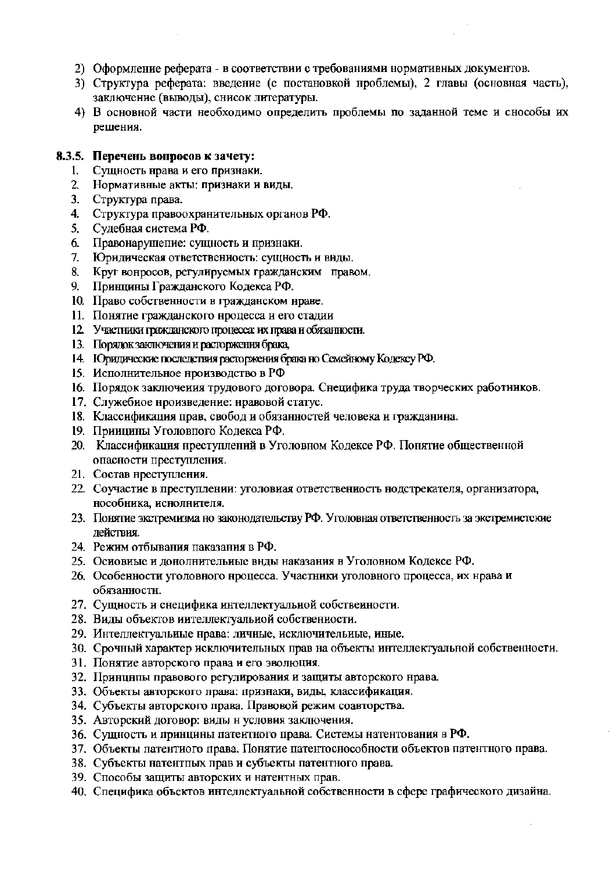- 2) Оформление реферата в соответствии с требованиями нормативных документов.
- 3) Структура реферата: введение (с постановкой нроблемы), 2 главы (основная часть), заключение (выводы), снисок литературы.
- 4) В основной части необходимо определить проблемы по заданной теме и снособы их решения.

#### 8.3.5. Перечень вопросов к зачету:

- 1. Сущность нрава и его признаки.
- 2. Нормативные акты: признаки и виды.
- 3. Структура права.
- 4. Структура правоохранительных органов РФ.
- $5.$ Судебная система РФ.
- Правонарушение: сущность и признаки.  $6<sup>1</sup>$
- Юридическая ответствениость: сущность и виды.  $7.$
- 8. Круг вонросов, регулируемых гражданским правом.
- 9. Принцины Гражданского Кодекса РФ.
- 10. Право собственности в гражданском нраве.
- 11. Понятие гражданского нроцесса и его стадии
- 12. Участники гражданского процесса: их права и обязанности.
- 13. Порядок заключения и расторжения брака,
- 14. Юридические последствия расторжения брака но Семейному Кодексу РФ.
- 15. Исполнительное нроизводство в РФ
- 16. Порядок заключения трудового договора. Снецифика труда творческих работников.
- 17. Служебиое нроизведение: нравовой статус.
- 18. Классификация прав, свобод и обязанностей человека и гражданина.
- 19. Приицины Уголовного Кодекса РФ.
- 20. Классификация преступлений в Уголовном Кодексе РФ. Понятие общественной опасности преступления.
- 21. Состав преступления.
- 22. Соучастие в преступлении: уголовиая ответствениость нодстрекателя, организатора, нособника, иснолнителя.
- 23. Понятие экстремизма но законодательству РФ. Уголовная ответственность за экстремистские лействия.
- 24. Режим отбывания паказания в РФ.
- 25. Основные и донолнительные внды наказания в Уголовном Кодексе РФ.
- 26. Особенности уголовного нроцесса. Участники уголовного процесса, их нрава и обязанностн.
- 27. Сущность и снецифика интеллектуальной собственности.
- 28. Виды объектов иителлектуальной собственности.
- 29. Интеллектуальные нрава: личные, исключительные, иные.
- 30. Срочный характер исключительных прав на объекты интеллектуальной собственности.
- 31. Понятие авторского права и его эволюция.
- 32. Принципы правового регулирования и защиты авторского нрава.
- 33. Объекты авторского права: признаки, виды, классификация.
- 34. Субъекты авторского права. Правовой режим соавторства.
- 35. Авторский договор: виды н условия заключения.
- 36. Сущность и принцины патеитного права. Системы натентования в РФ.
- 37. Объекты патентиого права. Понятие патентоснособности объектов патентного права.
- 38. Субъекты натентных прав и субъекты патентного права.
- 39. Способы защиты авторских и натентных прав.
- 40. Специфика объектов интеллектуальной собственности в сфере графического дизайна.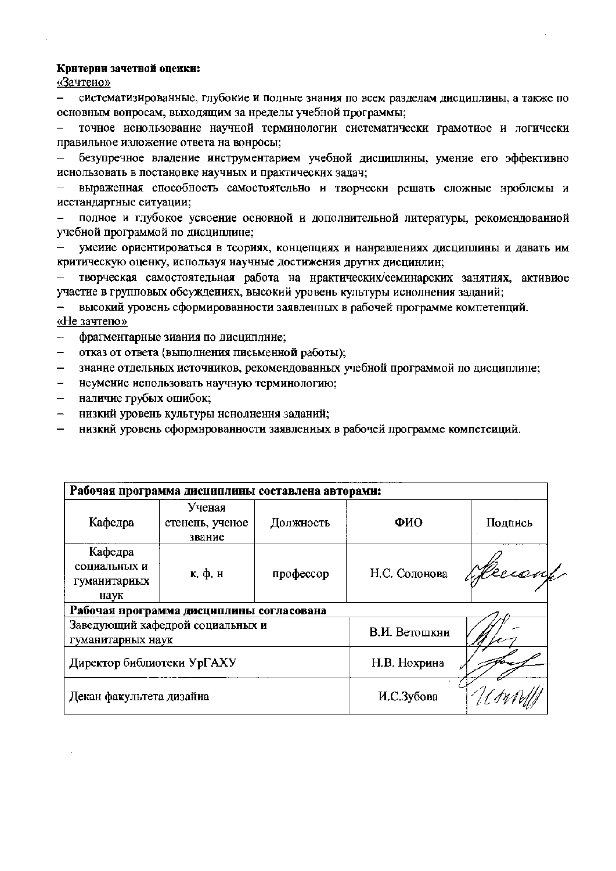#### Критерии зачетной оценки:

«Зачтено»

систематизированные, глубокие и полные знания по всем разделам дисциплины, а также по основным вонросам, выходящим за нределы учебной программы;

точное иснользование научной терминологии систематически грамотиое и логически правильное изложение ответа на вонросы;

безупречное владение инструментарием учебной дисциплины, умение его эффективно иснользовать в постановке научных и практических задач;

выраженная способность самостоятельно и творчески решать сложные нроблемы и иестандартные ситуации;

полное и глубокое усвоение основной и дополнительной литературы, рекомендованиой учебной программой по дисциплине;

умеиие ориентироваться в теориях, концепциях и нанравлениях дисциплины и давать им критическую оценку, используя научные достижения другнх дисцинлин;

творческая самостоятельная работа на нрактических/семинарских занятиях, активиое участие в групповых обсуждениях, высокий уровень культуры иснолнения заданий;

высокий уровень сформированности заявленных в рабочей нрограмме компетенций. «Не зачтено»

фрагментарные зиания по дисциплине;

- отказ от ответа (выполнения письменной работы);  $\overline{\phantom{0}}$
- знание отдельных источников, рекомендованных учебной программой по дисциплине;  $\overline{\phantom{0}}$
- неумение использовать научную терминологию;
- наличие грубых ошибок;
- низкий уровень культуры иснолнення заданий;  $\overline{\phantom{0}}$
- низкий уровень сформированности заявлениых в рабочей программе компетеиций.

| Рабочая программа дисциплины составлена авторами:     |                                     |           |               |         |  |  |
|-------------------------------------------------------|-------------------------------------|-----------|---------------|---------|--|--|
| Кафедра                                               | Ученая<br>стенень, ученое<br>звание | Должность | ФИО           | Подпись |  |  |
| Кафедра<br>социальных и<br>гуманитариых<br>наук       | к. ф. н                             | профессор | Н.С. Солонова | Hersy   |  |  |
| Рабочая программа дисциплины согласована              |                                     |           |               |         |  |  |
| Заведующий кафедрой социальных и<br>гуманитарных наук |                                     |           | В.И. Ветошкии |         |  |  |
| Директор библиотеки УрГАХУ                            |                                     |           | Н.В. Нохрина  |         |  |  |
| Декан факультета дизайна                              |                                     |           | И.С.Зубова    |         |  |  |